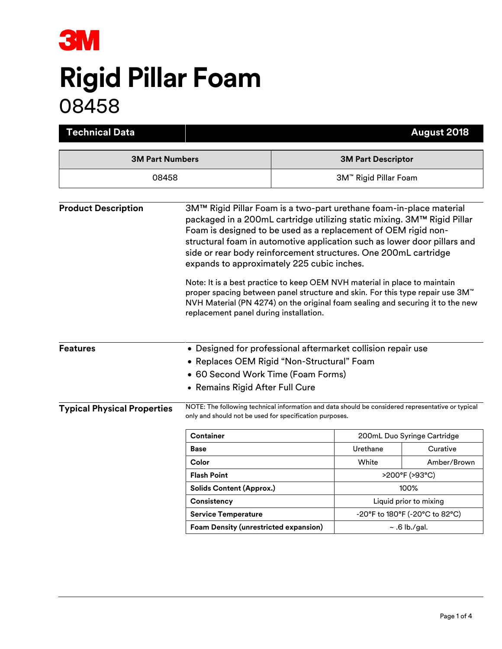

## **Rigid Pillar Foam** 08458

| <b>Technical Data</b>              |                                                                                                                                                                                                                                                                                                                                                                                                                                                                                                                                                                                                                                                                                                         |                                                    |                                | August 2018 |
|------------------------------------|---------------------------------------------------------------------------------------------------------------------------------------------------------------------------------------------------------------------------------------------------------------------------------------------------------------------------------------------------------------------------------------------------------------------------------------------------------------------------------------------------------------------------------------------------------------------------------------------------------------------------------------------------------------------------------------------------------|----------------------------------------------------|--------------------------------|-------------|
| <b>3M Part Numbers</b><br>08458    |                                                                                                                                                                                                                                                                                                                                                                                                                                                                                                                                                                                                                                                                                                         | <b>3M Part Descriptor</b><br>3M™ Rigid Pillar Foam |                                |             |
|                                    |                                                                                                                                                                                                                                                                                                                                                                                                                                                                                                                                                                                                                                                                                                         |                                                    |                                |             |
| <b>Product Description</b>         | 3M™ Rigid Pillar Foam is a two-part urethane foam-in-place material<br>packaged in a 200mL cartridge utilizing static mixing. 3M™ Rigid Pillar<br>Foam is designed to be used as a replacement of OEM rigid non-<br>structural foam in automotive application such as lower door pillars and<br>side or rear body reinforcement structures. One 200mL cartridge<br>expands to approximately 225 cubic inches.<br>Note: It is a best practice to keep OEM NVH material in place to maintain<br>proper spacing between panel structure and skin. For this type repair use 3M™<br>NVH Material (PN 4274) on the original foam sealing and securing it to the new<br>replacement panel during installation. |                                                    |                                |             |
| <b>Features</b>                    | • Designed for professional aftermarket collision repair use                                                                                                                                                                                                                                                                                                                                                                                                                                                                                                                                                                                                                                            |                                                    |                                |             |
|                                    | • Replaces OEM Rigid "Non-Structural" Foam                                                                                                                                                                                                                                                                                                                                                                                                                                                                                                                                                                                                                                                              |                                                    |                                |             |
|                                    | • 60 Second Work Time (Foam Forms)                                                                                                                                                                                                                                                                                                                                                                                                                                                                                                                                                                                                                                                                      |                                                    |                                |             |
|                                    | • Remains Rigid After Full Cure                                                                                                                                                                                                                                                                                                                                                                                                                                                                                                                                                                                                                                                                         |                                                    |                                |             |
| <b>Typical Physical Properties</b> | NOTE: The following technical information and data should be considered representative or typical<br>only and should not be used for specification purposes.                                                                                                                                                                                                                                                                                                                                                                                                                                                                                                                                            |                                                    |                                |             |
|                                    | Container                                                                                                                                                                                                                                                                                                                                                                                                                                                                                                                                                                                                                                                                                               |                                                    | 200mL Duo Syringe Cartridge    |             |
|                                    | <b>Base</b>                                                                                                                                                                                                                                                                                                                                                                                                                                                                                                                                                                                                                                                                                             |                                                    | Urethane                       | Curative    |
|                                    | Color                                                                                                                                                                                                                                                                                                                                                                                                                                                                                                                                                                                                                                                                                                   |                                                    | White                          | Amber/Brown |
|                                    | <b>Flash Point</b>                                                                                                                                                                                                                                                                                                                                                                                                                                                                                                                                                                                                                                                                                      |                                                    | >200°F (>93°C)                 |             |
|                                    | <b>Solids Content (Approx.)</b>                                                                                                                                                                                                                                                                                                                                                                                                                                                                                                                                                                                                                                                                         |                                                    | 100%                           |             |
|                                    | Consistency                                                                                                                                                                                                                                                                                                                                                                                                                                                                                                                                                                                                                                                                                             |                                                    | Liquid prior to mixing         |             |
|                                    | <b>Service Temperature</b>                                                                                                                                                                                                                                                                                                                                                                                                                                                                                                                                                                                                                                                                              |                                                    | -20°F to 180°F (-20°C to 82°C) |             |
|                                    | <b>Foam Density (unrestricted expansion)</b>                                                                                                                                                                                                                                                                                                                                                                                                                                                                                                                                                                                                                                                            |                                                    | ~ .6 lb./gal.                  |             |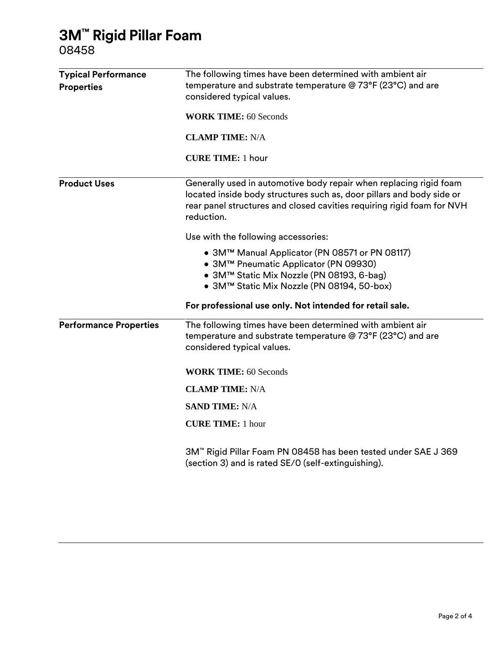## **3M™ Rigid Pillar Foam**

08458

| <b>Typical Performance</b><br><b>Properties</b> | The following times have been determined with ambient air<br>temperature and substrate temperature @ 73°F (23°C) and are<br>considered typical values.<br><b>WORK TIME: 60 Seconds</b>                                              |  |  |  |
|-------------------------------------------------|-------------------------------------------------------------------------------------------------------------------------------------------------------------------------------------------------------------------------------------|--|--|--|
|                                                 | <b>CLAMP TIME: N/A</b><br><b>CURE TIME: 1 hour</b>                                                                                                                                                                                  |  |  |  |
| <b>Product Uses</b>                             | Generally used in automotive body repair when replacing rigid foam<br>located inside body structures such as, door pillars and body side or<br>rear panel structures and closed cavities requiring rigid foam for NVH<br>reduction. |  |  |  |
|                                                 | Use with the following accessories:                                                                                                                                                                                                 |  |  |  |
|                                                 | ● 3M™ Manual Applicator (PN 08571 or PN 08117)<br>● 3M™ Pneumatic Applicator (PN 09930)<br>• 3M™ Static Mix Nozzle (PN 08193, 6-bag)<br>● 3M™ Static Mix Nozzle (PN 08194, 50-box)                                                  |  |  |  |
|                                                 | For professional use only. Not intended for retail sale.                                                                                                                                                                            |  |  |  |
| <b>Performance Properties</b>                   | The following times have been determined with ambient air<br>temperature and substrate temperature @ 73°F (23°C) and are<br>considered typical values.                                                                              |  |  |  |
|                                                 | <b>WORK TIME: 60 Seconds</b>                                                                                                                                                                                                        |  |  |  |
|                                                 | <b>CLAMP TIME: N/A</b>                                                                                                                                                                                                              |  |  |  |
|                                                 | <b>SAND TIME: N/A</b>                                                                                                                                                                                                               |  |  |  |
|                                                 | <b>CURE TIME: 1 hour</b>                                                                                                                                                                                                            |  |  |  |
|                                                 | 3M™ Rigid Pillar Foam PN 08458 has been tested under SAE J 369<br>(section 3) and is rated SE/O (self-extinguishing).                                                                                                               |  |  |  |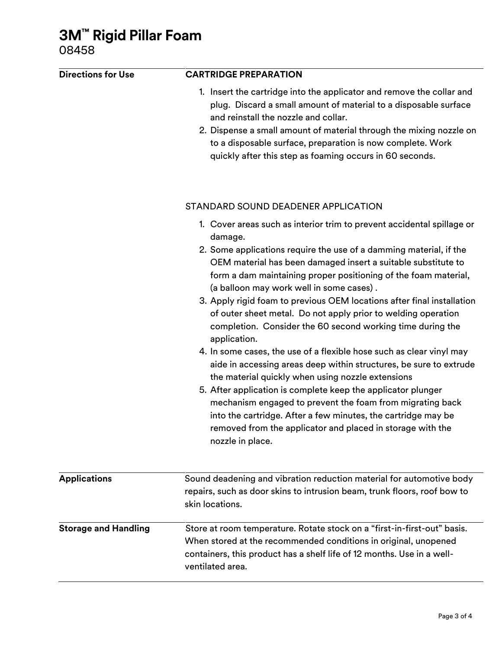## **3M™ Rigid Pillar Foam**

08458

| <b>Directions for Use</b>   | <b>CARTRIDGE PREPARATION</b><br>1. Insert the cartridge into the applicator and remove the collar and<br>plug. Discard a small amount of material to a disposable surface<br>and reinstall the nozzle and collar.<br>2. Dispense a small amount of material through the mixing nozzle on<br>to a disposable surface, preparation is now complete. Work<br>quickly after this step as foaming occurs in 60 seconds. |                                                                                                                                                                                                                                                                                                                                                                                                                                                                                                                                                                                                                                                                                                                                                                                                                                                                                                                                                                                                                                                     |  |  |                                     |
|-----------------------------|--------------------------------------------------------------------------------------------------------------------------------------------------------------------------------------------------------------------------------------------------------------------------------------------------------------------------------------------------------------------------------------------------------------------|-----------------------------------------------------------------------------------------------------------------------------------------------------------------------------------------------------------------------------------------------------------------------------------------------------------------------------------------------------------------------------------------------------------------------------------------------------------------------------------------------------------------------------------------------------------------------------------------------------------------------------------------------------------------------------------------------------------------------------------------------------------------------------------------------------------------------------------------------------------------------------------------------------------------------------------------------------------------------------------------------------------------------------------------------------|--|--|-------------------------------------|
|                             |                                                                                                                                                                                                                                                                                                                                                                                                                    |                                                                                                                                                                                                                                                                                                                                                                                                                                                                                                                                                                                                                                                                                                                                                                                                                                                                                                                                                                                                                                                     |  |  | STANDARD SOUND DEADENER APPLICATION |
|                             |                                                                                                                                                                                                                                                                                                                                                                                                                    | 1. Cover areas such as interior trim to prevent accidental spillage or<br>damage.<br>2. Some applications require the use of a damming material, if the<br>OEM material has been damaged insert a suitable substitute to<br>form a dam maintaining proper positioning of the foam material,<br>(a balloon may work well in some cases).<br>3. Apply rigid foam to previous OEM locations after final installation<br>of outer sheet metal. Do not apply prior to welding operation<br>completion. Consider the 60 second working time during the<br>application.<br>4. In some cases, the use of a flexible hose such as clear vinyl may<br>aide in accessing areas deep within structures, be sure to extrude<br>the material quickly when using nozzle extensions<br>5. After application is complete keep the applicator plunger<br>mechanism engaged to prevent the foam from migrating back<br>into the cartridge. After a few minutes, the cartridge may be<br>removed from the applicator and placed in storage with the<br>nozzle in place. |  |  |                                     |
| <b>Applications</b>         | Sound deadening and vibration reduction material for automotive body<br>repairs, such as door skins to intrusion beam, trunk floors, roof bow to<br>skin locations.                                                                                                                                                                                                                                                |                                                                                                                                                                                                                                                                                                                                                                                                                                                                                                                                                                                                                                                                                                                                                                                                                                                                                                                                                                                                                                                     |  |  |                                     |
| <b>Storage and Handling</b> | Store at room temperature. Rotate stock on a "first-in-first-out" basis.<br>When stored at the recommended conditions in original, unopened<br>containers, this product has a shelf life of 12 months. Use in a well-<br>ventilated area.                                                                                                                                                                          |                                                                                                                                                                                                                                                                                                                                                                                                                                                                                                                                                                                                                                                                                                                                                                                                                                                                                                                                                                                                                                                     |  |  |                                     |